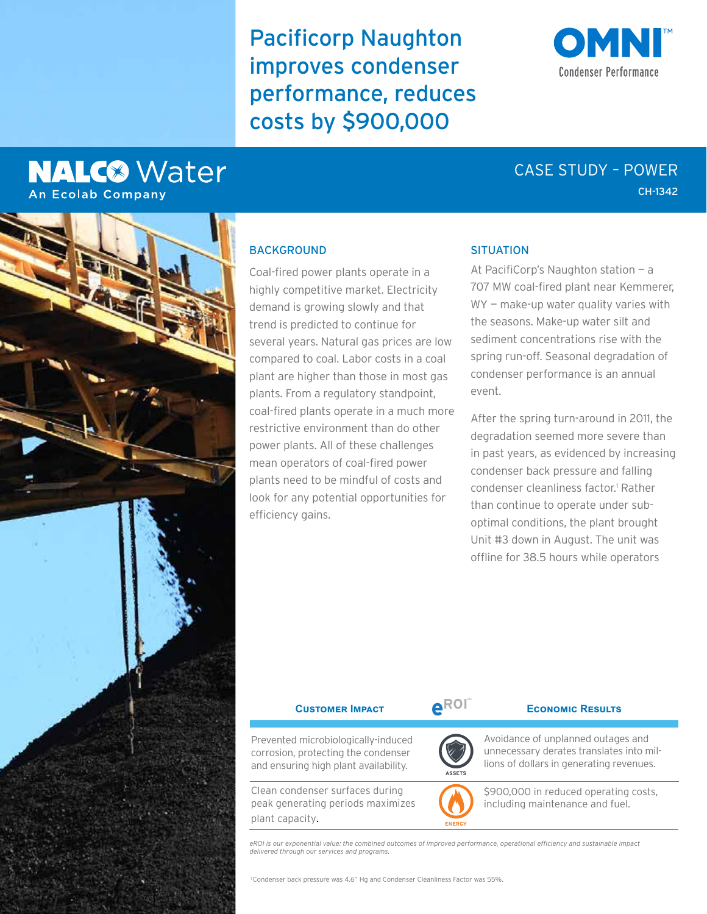Pacificorp Naughton improves condenser performance, reduces costs by \$900,000

# **NALC<sup>®</sup>** Water **An Ecolab Company**



# CH-1342 CASE STUDY – POWER



# **BACKGROUND**

Coal-fired power plants operate in a highly competitive market. Electricity demand is growing slowly and that trend is predicted to continue for several years. Natural gas prices are low compared to coal. Labor costs in a coal plant are higher than those in most gas plants. From a regulatory standpoint, coal-fired plants operate in a much more restrictive environment than do other power plants. All of these challenges mean operators of coal-fired power plants need to be mindful of costs and look for any potential opportunities for efficiency gains.

### **SITUATION**

At PacifiCorp's Naughton station — a 707 MW coal-fired plant near Kemmerer, WY - make-up water quality varies with the seasons. Make-up water silt and sediment concentrations rise with the spring run-off. Seasonal degradation of condenser performance is an annual event.

After the spring turn-around in 2011, the degradation seemed more severe than in past years, as evidenced by increasing condenser back pressure and falling condenser cleanliness factor.<sup>1</sup> Rather than continue to operate under suboptimal conditions, the plant brought Unit #3 down in August. The unit was offline for 38.5 hours while operators

| <b>CUSTOMER IMPACT</b>                                                                                              | AROI          | <b>ECONOMIC RESULTS</b>                                                                                                    |
|---------------------------------------------------------------------------------------------------------------------|---------------|----------------------------------------------------------------------------------------------------------------------------|
| Prevented microbiologically-induced<br>corrosion, protecting the condenser<br>and ensuring high plant availability. | <b>ASSETS</b> | Avoidance of unplanned outages and<br>unnecessary derates translates into mil-<br>lions of dollars in generating revenues. |
| Clean condenser surfaces during<br>peak generating periods maximizes<br>plant capacity.                             |               | \$900,000 in reduced operating costs,<br>including maintenance and fuel.                                                   |

*eROI is our exponential value: the combined outcomes of improved performance, operational efficiency and sustainable impact delivered through our services and programs.*

1 Condenser back pressure was 4.6" Hg and Condenser Cleanliness Factor was 55%.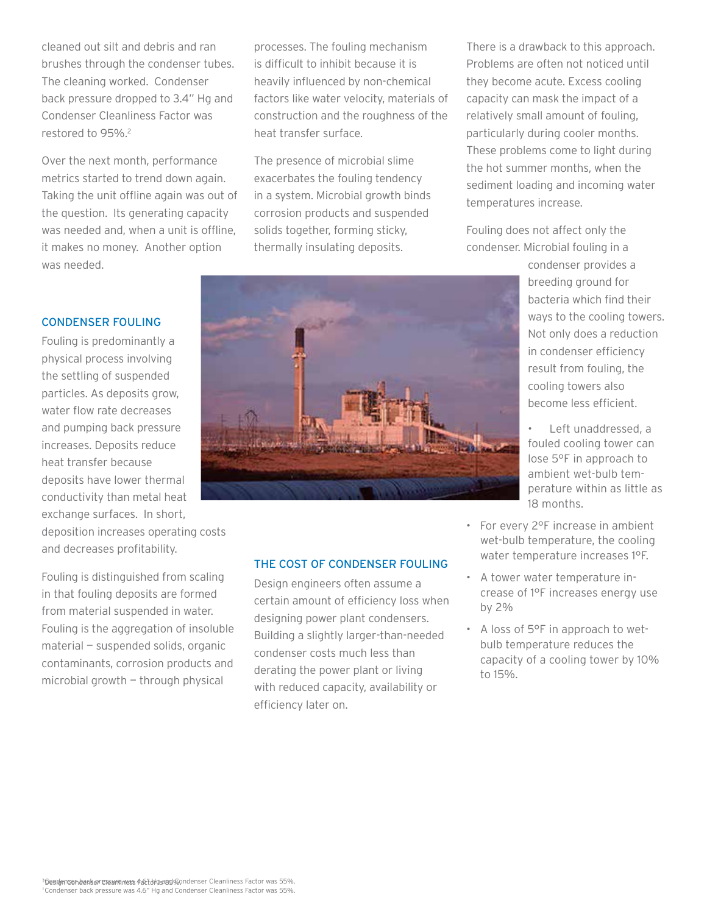cleaned out silt and debris and ran brushes through the condenser tubes. The cleaning worked. Condenser back pressure dropped to 3.4" Hg and Condenser Cleanliness Factor was restored to 95%.2

Over the next month, performance metrics started to trend down again. Taking the unit offline again was out of the question. Its generating capacity was needed and, when a unit is offline, it makes no money. Another option was needed.

processes. The fouling mechanism is difficult to inhibit because it is heavily influenced by non-chemical factors like water velocity, materials of construction and the roughness of the heat transfer surface.

The presence of microbial slime exacerbates the fouling tendency in a system. Microbial growth binds corrosion products and suspended solids together, forming sticky, thermally insulating deposits.

There is a drawback to this approach. Problems are often not noticed until they become acute. Excess cooling capacity can mask the impact of a relatively small amount of fouling, particularly during cooler months. These problems come to light during the hot summer months, when the sediment loading and incoming water temperatures increase.

Fouling does not affect only the condenser. Microbial fouling in a

> condenser provides a breeding ground for bacteria which find their ways to the cooling towers. Not only does a reduction in condenser efficiency result from fouling, the cooling towers also become less efficient.

• Left unaddressed, a fouled cooling tower can lose 5°F in approach to ambient wet-bulb temperature within as little as 18 months.

- For every 2°F increase in ambient wet-bulb temperature, the cooling water temperature increases 1°F.
- A tower water temperature increase of 1°F increases energy use by 2%
- A loss of 5°F in approach to wetbulb temperature reduces the capacity of a cooling tower by 10% to 15%.

## CONDENSER FOULING

Fouling is predominantly a physical process involving the settling of suspended particles. As deposits grow, water flow rate decreases and pumping back pressure increases. Deposits reduce heat transfer because deposits have lower thermal conductivity than metal heat exchange surfaces. In short,

deposition increases operating costs and decreases profitability.

Fouling is distinguished from scaling in that fouling deposits are formed from material suspended in water. Fouling is the aggregation of insoluble material — suspended solids, organic contaminants, corrosion products and microbial growth — through physical

# THE COST OF CONDENSER FOULING

Design engineers often assume a certain amount of efficiency loss when designing power plant condensers. Building a slightly larger-than-needed condenser costs much less than derating the power plant or living with reduced capacity, availability or efficiency later on.

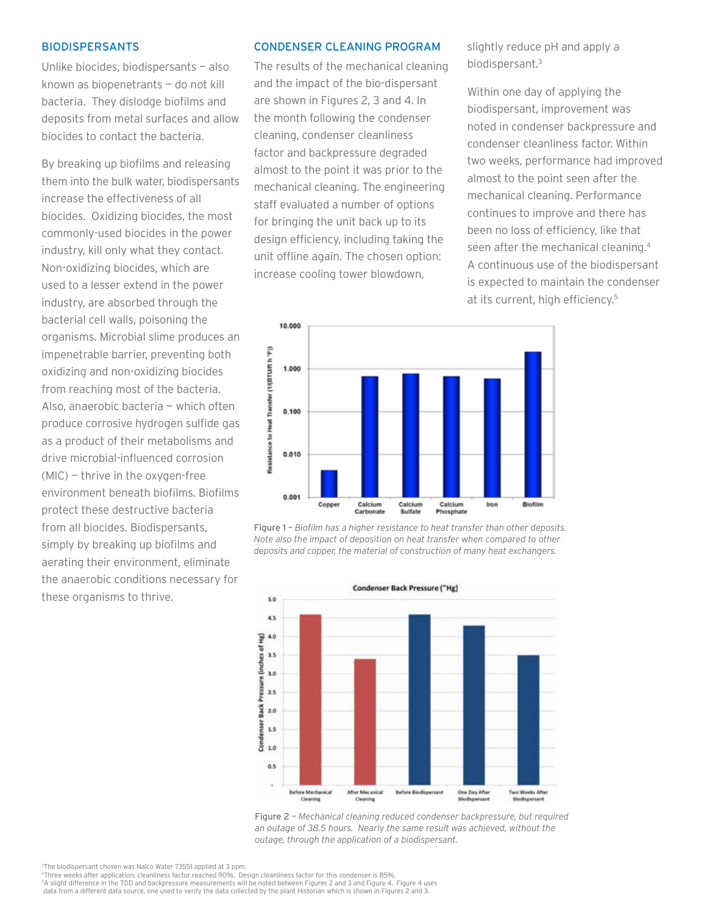### BIODISPERSANTS

Unlike biocides, biodispersants — also known as biopenetrants — do not kill bacteria. They dislodge biofilms and deposits from metal surfaces and allow biocides to contact the bacteria.

By breaking up biofilms and releasing them into the bulk water, biodispersants increase the effectiveness of all biocides. Oxidizing biocides, the most commonly-used biocides in the power industry, kill only what they contact. Non-oxidizing biocides, which are used to a lesser extend in the power industry, are absorbed through the bacterial cell walls, poisoning the organisms. Microbial slime produces an impenetrable barrier, preventing both oxidizing and non-oxidizing biocides from reaching most of the bacteria. Also, anaerobic bacteria — which often produce corrosive hydrogen sulfide gas as a product of their metabolisms and drive microbial-influenced corrosion (MIC) — thrive in the oxygen-free environment beneath biofilms. Biofilms protect these destructive bacteria from all biocides. Biodispersants, simply by breaking up biofilms and aerating their environment, eliminate the anaerobic conditions necessary for these organisms to thrive.

### CONDENSER CLEANING PROGRAM

The results of the mechanical cleaning and the impact of the bio-dispersant are shown in Figures 2, 3 and 4. In the month following the condenser cleaning, condenser cleanliness factor and backpressure degraded almost to the point it was prior to the mechanical cleaning. The engineering staff evaluated a number of options for bringing the unit back up to its design efficiency, including taking the unit offline again. The chosen option: increase cooling tower blowdown,

slightly reduce pH and apply a biodispersant.3

Within one day of applying the biodispersant, improvement was noted in condenser backpressure and condenser cleanliness factor. Within two weeks, performance had improved almost to the point seen after the mechanical cleaning. Performance continues to improve and there has been no loss of efficiency, like that seen after the mechanical cleaning.4 A continuous use of the biodispersant is expected to maintain the condenser at its current, high efficiency.<sup>5</sup>



Figure 1 – *Biofilm has a higher resistance to heat transfer than other deposits. Note also the impact of deposition on heat transfer when compared to other deposits and copper, the material of construction of many heat exchangers.*



Figure 2 – *Mechanical cleaning reduced condenser backpressure, but required an outage of 38.5 hours. Nearly the same result was achieved, without the outage, through the application of a biodispersant.*

<sup>4</sup>Three weeks after application, cleanliness factor reached 90%. Design cleanliness factor for this condenser is 85%. 5A slight difference in the TDD and backpressure measurements will be noted between Figures 2 and 3 and Figure 4. Figure 4 uses data from a different data source, one used to verify the data collected by the plant Historian which is shown in Figures 2 and 3.